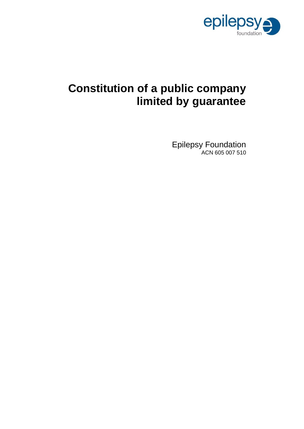

# **Constitution of a public company limited by guarantee**

Epilepsy Foundation ACN 605 007 510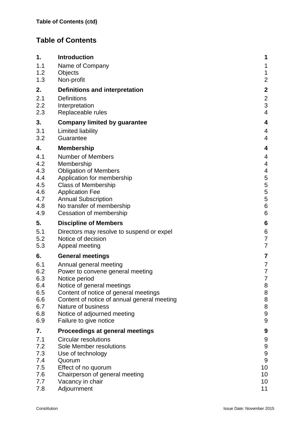## **Table of Contents**

| 1.         | <b>Introduction</b>                                                 | 1                       |
|------------|---------------------------------------------------------------------|-------------------------|
| 1.1        | Name of Company                                                     | 1                       |
| 1.2        | Objects                                                             | $\mathbf{1}$            |
| 1.3        | Non-profit                                                          | $\overline{2}$          |
| 2.         | Definitions and interpretation                                      | $\boldsymbol{2}$        |
| 2.1        | <b>Definitions</b>                                                  | $\overline{2}$          |
| 2.2        | Interpretation                                                      | 3                       |
| 2.3        | Replaceable rules                                                   | $\overline{4}$          |
| 3.         | <b>Company limited by guarantee</b>                                 | 4                       |
| 3.1        | Limited liability                                                   | $\overline{4}$          |
| 3.2        | Guarantee                                                           | $\overline{4}$          |
| 4.         | <b>Membership</b>                                                   | $\overline{\mathbf{4}}$ |
| 4.1        | <b>Number of Members</b>                                            | 4                       |
| 4.2        | Membership                                                          | $\overline{4}$          |
| 4.3<br>4.4 | <b>Obligation of Members</b>                                        | $\overline{4}$          |
| 4.5        | Application for membership<br><b>Class of Membership</b>            | 5<br>5                  |
| 4.6        | <b>Application Fee</b>                                              | 5                       |
| 4.7        | <b>Annual Subscription</b>                                          | 5                       |
| 4.8        | No transfer of membership                                           | $6\phantom{1}6$         |
| 4.9        | Cessation of membership                                             | 6                       |
| 5.         | <b>Discipline of Members</b>                                        | $6\phantom{1}6$         |
| 5.1        | Directors may resolve to suspend or expel                           | 6                       |
| 5.2        | Notice of decision                                                  | $\overline{7}$          |
| 5.3        | Appeal meeting                                                      | $\overline{7}$          |
| 6.         | <b>General meetings</b>                                             | $\overline{7}$          |
| 6.1        | Annual general meeting                                              | $\overline{7}$          |
| 6.2        | Power to convene general meeting                                    | $\overline{7}$          |
| 6.3        | Notice period                                                       | $\overline{7}$          |
| 6.4<br>6.5 | Notice of general meetings<br>Content of notice of general meetings | 8<br>8                  |
| 6.6        | Content of notice of annual general meeting                         | 8                       |
| 6.7        | Nature of business                                                  | 8                       |
| 6.8        | Notice of adjourned meeting                                         | 9                       |
| 6.9        | Failure to give notice                                              | 9                       |
| 7.         | Proceedings at general meetings                                     | 9                       |
| 7.1        | <b>Circular resolutions</b>                                         | 9                       |
| 7.2        | Sole Member resolutions                                             | 9                       |
| 7.3        | Use of technology                                                   | 9                       |
| 7.4<br>7.5 | Quorum<br>Effect of no quorum                                       | 9<br>10                 |
| 7.6        | Chairperson of general meeting                                      | 10                      |
| 7.7        | Vacancy in chair                                                    | 10                      |
| 7.8        | Adjournment                                                         | 11                      |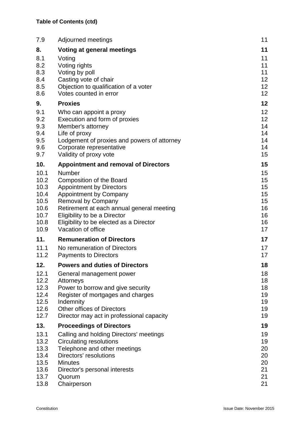| 7.9                                                                  | Adjourned meetings                                                                                                                                                                                                                                                                       | 11                                                 |
|----------------------------------------------------------------------|------------------------------------------------------------------------------------------------------------------------------------------------------------------------------------------------------------------------------------------------------------------------------------------|----------------------------------------------------|
| 8.                                                                   | Voting at general meetings                                                                                                                                                                                                                                                               | 11                                                 |
| 8.1<br>8.2<br>8.3<br>8.4<br>8.5<br>8.6                               | Voting<br>Voting rights<br>Voting by poll<br>Casting vote of chair<br>Objection to qualification of a voter<br>Votes counted in error                                                                                                                                                    | 11<br>11<br>11<br>12<br>12<br>12 <sub>2</sub>      |
| 9.                                                                   | <b>Proxies</b>                                                                                                                                                                                                                                                                           | 12                                                 |
| 9.1<br>9.2<br>9.3<br>9.4<br>9.5<br>9.6<br>9.7                        | Who can appoint a proxy<br>Execution and form of proxies<br>Member's attorney<br>Life of proxy<br>Lodgement of proxies and powers of attorney<br>Corporate representative<br>Validity of proxy vote                                                                                      | 12<br>12<br>14<br>14<br>14<br>14<br>15             |
| 10.                                                                  | <b>Appointment and removal of Directors</b>                                                                                                                                                                                                                                              | 15                                                 |
| 10.1<br>10.2<br>10.3<br>10.4<br>10.5<br>10.6<br>10.7<br>10.8<br>10.9 | Number<br><b>Composition of the Board</b><br><b>Appointment by Directors</b><br><b>Appointment by Company</b><br><b>Removal by Company</b><br>Retirement at each annual general meeting<br>Eligibility to be a Director<br>Eligibility to be elected as a Director<br>Vacation of office | 15<br>15<br>15<br>15<br>15<br>16<br>16<br>16<br>17 |
| 11.                                                                  | <b>Remuneration of Directors</b>                                                                                                                                                                                                                                                         | 17                                                 |
| 11.1<br>11.2                                                         | No remuneration of Directors<br><b>Payments to Directors</b>                                                                                                                                                                                                                             | 17<br>17                                           |
| 12.                                                                  | <b>Powers and duties of Directors</b>                                                                                                                                                                                                                                                    | 18                                                 |
| 12.1<br>12.2<br>12.3<br>12.4<br>12.5<br>12.6<br>12.7                 | General management power<br>Attorneys<br>Power to borrow and give security<br>Register of mortgages and charges<br>Indemnity<br>Other offices of Directors<br>Director may act in professional capacity                                                                                  | 18<br>18<br>18<br>19<br>19<br>19<br>19             |
| 13.                                                                  | <b>Proceedings of Directors</b>                                                                                                                                                                                                                                                          | 19                                                 |
| 13.1<br>13.2<br>13.3<br>13.4<br>13.5<br>13.6<br>13.7<br>13.8         | Calling and holding Directors' meetings<br><b>Circulating resolutions</b><br>Telephone and other meetings<br>Directors' resolutions<br><b>Minutes</b><br>Director's personal interests<br>Quorum<br>Chairperson                                                                          | 19<br>19<br>20<br>20<br>20<br>21<br>21<br>21       |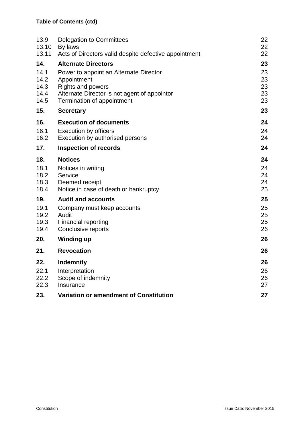| 13.9  | Delegation to Committees                              | 22 |
|-------|-------------------------------------------------------|----|
| 13.10 | By laws                                               | 22 |
| 13.11 | Acts of Directors valid despite defective appointment | 22 |
| 14.   | <b>Alternate Directors</b>                            | 23 |
| 14.1  | Power to appoint an Alternate Director                | 23 |
| 14.2  | Appointment                                           | 23 |
| 14.3  | <b>Rights and powers</b>                              | 23 |
| 14.4  | Alternate Director is not agent of appointor          | 23 |
| 14.5  | Termination of appointment                            | 23 |
| 15.   | <b>Secretary</b>                                      | 23 |
| 16.   | <b>Execution of documents</b>                         | 24 |
| 16.1  | <b>Execution by officers</b>                          | 24 |
| 16.2  | Execution by authorised persons                       | 24 |
| 17.   | <b>Inspection of records</b>                          | 24 |
| 18.   | <b>Notices</b>                                        | 24 |
| 18.1  | Notices in writing                                    | 24 |
| 18.2  | Service                                               | 24 |
| 18.3  | Deemed receipt                                        | 24 |
| 18.4  | Notice in case of death or bankruptcy                 | 25 |
| 19.   | <b>Audit and accounts</b>                             | 25 |
| 19.1  | Company must keep accounts                            | 25 |
| 19.2  | Audit                                                 | 25 |
| 19.3  | Financial reporting                                   | 25 |
| 19.4  | Conclusive reports                                    | 26 |
| 20.   | <b>Winding up</b>                                     | 26 |
| 21.   | <b>Revocation</b>                                     | 26 |
| 22.   | <b>Indemnity</b>                                      | 26 |
| 22.1  | Interpretation                                        | 26 |
| 22.2  | Scope of indemnity                                    | 26 |
| 22.3  | Insurance                                             | 27 |
| 23.   | Variation or amendment of Constitution                | 27 |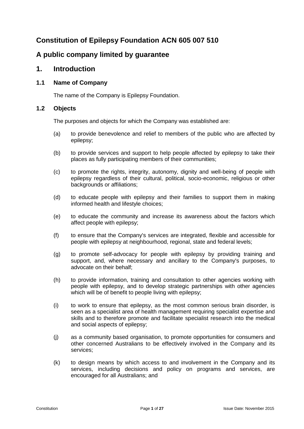## **Constitution of Epilepsy Foundation ACN 605 007 510**

## **A public company limited by guarantee**

## **1. Introduction**

## **1.1 Name of Company**

The name of the Company is Epilepsy Foundation.

#### <span id="page-4-0"></span>**1.2 Objects**

The purposes and objects for which the Company was established are:

- (a) to provide benevolence and relief to members of the public who are affected by epilepsy;
- (b) to provide services and support to help people affected by epilepsy to take their places as fully participating members of their communities;
- (c) to promote the rights, integrity, autonomy, dignity and well-being of people with epilepsy regardless of their cultural, political, socio-economic, religious or other backgrounds or affiliations;
- (d) to educate people with epilepsy and their families to support them in making informed health and lifestyle choices;
- (e) to educate the community and increase its awareness about the factors which affect people with epilepsy;
- (f) to ensure that the Company's services are integrated, flexible and accessible for people with epilepsy at neighbourhood, regional, state and federal levels;
- (g) to promote self-advocacy for people with epilepsy by providing training and support, and, where necessary and ancillary to the Company's purposes, to advocate on their behalf;
- (h) to provide information, training and consultation to other agencies working with people with epilepsy, and to develop strategic partnerships with other agencies which will be of benefit to people living with epilepsy;
- (i) to work to ensure that epilepsy, as the most common serious brain disorder, is seen as a specialist area of health management requiring specialist expertise and skills and to therefore promote and facilitate specialist research into the medical and social aspects of epilepsy;
- (j) as a community based organisation, to promote opportunities for consumers and other concerned Australians to be effectively involved in the Company and its services;
- (k) to design means by which access to and involvement in the Company and its services, including decisions and policy on programs and services, are encouraged for all Australians; and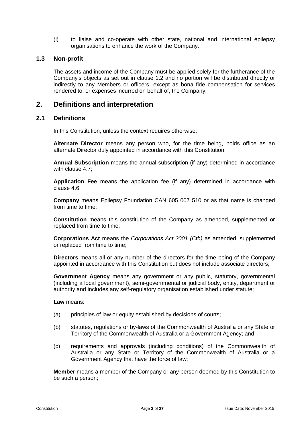(l) to liaise and co-operate with other state, national and international epilepsy organisations to enhance the work of the Company.

#### **1.3 Non-profit**

The assets and income of the Company must be applied solely for the furtherance of the Company's objects as set out in clause [1.2](#page-4-0) and no portion will be distributed directly or indirectly to any Members or officers, except as bona fide compensation for services rendered to, or expenses incurred on behalf of, the Company.

## **2. Definitions and interpretation**

#### **2.1 Definitions**

In this Constitution, unless the context requires otherwise:

**Alternate Director** means any person who, for the time being, holds office as an alternate Director duly appointed in accordance with this Constitution;

**Annual Subscription** means the annual subscription (if any) determined in accordance with clause [4.7;](#page-8-0)

**Application Fee** means the application fee (if any) determined in accordance with clause [4.6;](#page-8-1)

**Company** means Epilepsy Foundation CAN 605 007 510 or as that name is changed from time to time;

**Constitution** means this constitution of the Company as amended, supplemented or replaced from time to time;

**Corporations Act** means the *Corporations Act 2001 (Cth)* as amended, supplemented or replaced from time to time;

**Directors** means all or any number of the directors for the time being of the Company appointed in accordance with this Constitution but does not include associate directors;

**Government Agency** means any government or any public, statutory, governmental (including a local government), semi-governmental or judicial body, entity, department or authority and includes any self-regulatory organisation established under statute;

**Law** means:

- (a) principles of law or equity established by decisions of courts;
- (b) statutes, regulations or by-laws of the Commonwealth of Australia or any State or Territory of the Commonwealth of Australia or a Government Agency; and
- (c) requirements and approvals (including conditions) of the Commonwealth of Australia or any State or Territory of the Commonwealth of Australia or a Government Agency that have the force of law;

**Member** means a member of the Company or any person deemed by this Constitution to be such a person;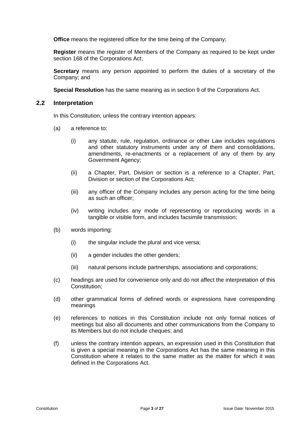**Office** means the registered office for the time being of the Company;

**Register** means the register of Members of the Company as required to be kept under section 168 of the Corporations Act;

**Secretary** means any person appointed to perform the duties of a secretary of the Company; and

**Special Resolution** has the same meaning as in section 9 of the Corporations Act.

#### **2.2 Interpretation**

In this Constitution, unless the contrary intention appears:

- (a) a reference to:
	- (i) any statute, rule, regulation, ordinance or other Law includes regulations and other statutory instruments under any of them and consolidations, amendments, re-enactments or a replacement of any of them by any Government Agency;
	- (ii) a Chapter, Part, Division or section is a reference to a Chapter, Part, Division or section of the Corporations Act;
	- (iii) any officer of the Company includes any person acting for the time being as such an officer;
	- (iv) writing includes any mode of representing or reproducing words in a tangible or visible form, and includes facsimile transmission;
- (b) words importing:
	- (i) the singular include the plural and vice versa;
	- (ii) a gender includes the other genders;
	- (iii) natural persons include partnerships, associations and corporations;
- (c) headings are used for convenience only and do not affect the interpretation of this Constitution;
- (d) other grammatical forms of defined words or expressions have corresponding meanings
- (e) references to notices in this Constitution include not only formal notices of meetings but also all documents and other communications from the Company to its Members but do not include cheques; and
- (f) unless the contrary intention appears, an expression used in this Constitution that is given a special meaning in the Corporations Act has the same meaning in this Constitution where it relates to the same matter as the matter for which it was defined in the Corporations Act.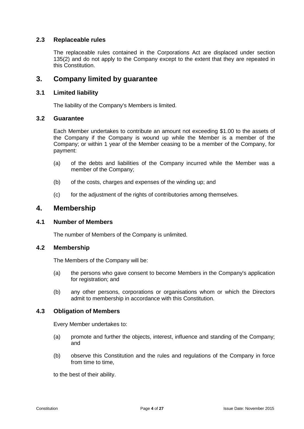#### **2.3 Replaceable rules**

The replaceable rules contained in the Corporations Act are displaced under section 135(2) and do not apply to the Company except to the extent that they are repeated in this Constitution.

## **3. Company limited by guarantee**

#### **3.1 Limited liability**

The liability of the Company's Members is limited.

#### **3.2 Guarantee**

Each Member undertakes to contribute an amount not exceeding \$1.00 to the assets of the Company if the Company is wound up while the Member is a member of the Company; or within 1 year of the Member ceasing to be a member of the Company, for payment:

- (a) of the debts and liabilities of the Company incurred while the Member was a member of the Company;
- (b) of the costs, charges and expenses of the winding up; and
- (c) for the adjustment of the rights of contributories among themselves.

## **4. Membership**

#### **4.1 Number of Members**

The number of Members of the Company is unlimited.

#### **4.2 Membership**

The Members of the Company will be:

- (a) the persons who gave consent to become Members in the Company's application for registration; and
- (b) any other persons, corporations or organisations whom or which the Directors admit to membership in accordance with this Constitution.

#### **4.3 Obligation of Members**

Every Member undertakes to:

- (a) promote and further the objects, interest, influence and standing of the Company; and
- (b) observe this Constitution and the rules and regulations of the Company in force from time to time,

to the best of their ability.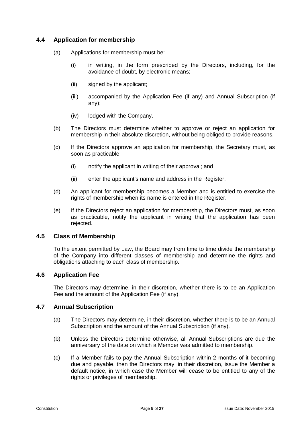## **4.4 Application for membership**

- (a) Applications for membership must be:
	- (i) in writing, in the form prescribed by the Directors, including, for the avoidance of doubt, by electronic means;
	- (ii) signed by the applicant;
	- (iii) accompanied by the Application Fee (if any) and Annual Subscription (if any);
	- (iv) lodged with the Company.
- (b) The Directors must determine whether to approve or reject an application for membership in their absolute discretion, without being obliged to provide reasons.
- (c) If the Directors approve an application for membership, the Secretary must, as soon as practicable:
	- (i) notify the applicant in writing of their approval; and
	- (ii) enter the applicant's name and address in the Register.
- (d) An applicant for membership becomes a Member and is entitled to exercise the rights of membership when its name is entered in the Register.
- (e) If the Directors reject an application for membership, the Directors must, as soon as practicable, notify the applicant in writing that the application has been rejected.

#### **4.5 Class of Membership**

To the extent permitted by Law, the Board may from time to time divide the membership of the Company into different classes of membership and determine the rights and obligations attaching to each class of membership.

#### <span id="page-8-1"></span>**4.6 Application Fee**

The Directors may determine, in their discretion, whether there is to be an Application Fee and the amount of the Application Fee (if any).

#### <span id="page-8-0"></span>**4.7 Annual Subscription**

- (a) The Directors may determine, in their discretion, whether there is to be an Annual Subscription and the amount of the Annual Subscription (if any).
- (b) Unless the Directors determine otherwise, all Annual Subscriptions are due the anniversary of the date on which a Member was admitted to membership.
- <span id="page-8-2"></span>(c) If a Member fails to pay the Annual Subscription within 2 months of it becoming due and payable, then the Directors may, in their discretion, issue the Member a default notice, in which case the Member will cease to be entitled to any of the rights or privileges of membership.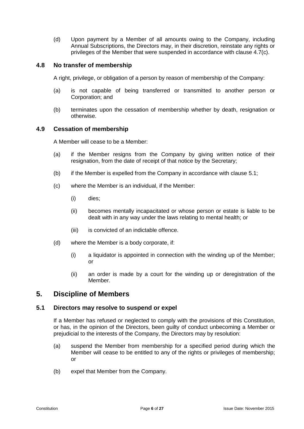(d) Upon payment by a Member of all amounts owing to the Company, including Annual Subscriptions, the Directors may, in their discretion, reinstate any rights or privileges of the Member that were suspended in accordance with clause [4.7\(c\).](#page-8-2)

#### **4.8 No transfer of membership**

A right, privilege, or obligation of a person by reason of membership of the Company:

- (a) is not capable of being transferred or transmitted to another person or Corporation; and
- (b) terminates upon the cessation of membership whether by death, resignation or otherwise.

#### **4.9 Cessation of membership**

A Member will cease to be a Member:

- (a) if the Member resigns from the Company by giving written notice of their resignation, from the date of receipt of that notice by the Secretary;
- (b) if the Member is expelled from the Company in accordance with clause [5.1;](#page-9-0)
- (c) where the Member is an individual, if the Member:
	- (i) dies;
	- (ii) becomes mentally incapacitated or whose person or estate is liable to be dealt with in any way under the laws relating to mental health; or
	- (iii) is convicted of an indictable offence.
- (d) where the Member is a body corporate, if:
	- (i) a liquidator is appointed in connection with the winding up of the Member; or
	- (ii) an order is made by a court for the winding up or deregistration of the Member.

## **5. Discipline of Members**

#### <span id="page-9-0"></span>**5.1 Directors may resolve to suspend or expel**

If a Member has refused or neglected to comply with the provisions of this Constitution, or has, in the opinion of the Directors, been guilty of conduct unbecoming a Member or prejudicial to the interests of the Company, the Directors may by resolution:

- (a) suspend the Member from membership for a specified period during which the Member will cease to be entitled to any of the rights or privileges of membership; or
- (b) expel that Member from the Company.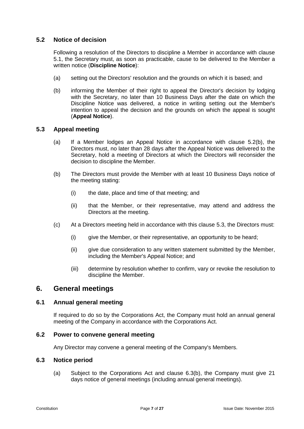### **5.2 Notice of decision**

Following a resolution of the Directors to discipline a Member in accordance with clause [5.1,](#page-9-0) the Secretary must, as soon as practicable, cause to be delivered to the Member a written notice (**Discipline Notice**):

- (a) setting out the Directors' resolution and the grounds on which it is based; and
- <span id="page-10-0"></span>(b) informing the Member of their right to appeal the Director's decision by lodging with the Secretary, no later than 10 Business Days after the date on which the Discipline Notice was delivered, a notice in writing setting out the Member's intention to appeal the decision and the grounds on which the appeal is sought (**Appeal Notice**).

#### <span id="page-10-1"></span>**5.3 Appeal meeting**

- (a) If a Member lodges an Appeal Notice in accordance with clause [5.2\(b\),](#page-10-0) the Directors must, no later than 28 days after the Appeal Notice was delivered to the Secretary, hold a meeting of Directors at which the Directors will reconsider the decision to discipline the Member.
- (b) The Directors must provide the Member with at least 10 Business Days notice of the meeting stating:
	- (i) the date, place and time of that meeting; and
	- (ii) that the Member, or their representative, may attend and address the Directors at the meeting.
- (c) At a Directors meeting held in accordance with this clause [5.3,](#page-10-1) the Directors must:
	- (i) give the Member, or their representative, an opportunity to be heard;
	- (ii) give due consideration to any written statement submitted by the Member, including the Member's Appeal Notice; and
	- (iii) determine by resolution whether to confirm, vary or revoke the resolution to discipline the Member.

## **6. General meetings**

#### **6.1 Annual general meeting**

If required to do so by the Corporations Act, the Company must hold an annual general meeting of the Company in accordance with the Corporations Act.

#### **6.2 Power to convene general meeting**

Any Director may convene a general meeting of the Company's Members.

#### **6.3 Notice period**

(a) Subject to the Corporations Act and clause 6.3(b), the Company must give 21 days notice of general meetings (including annual general meetings).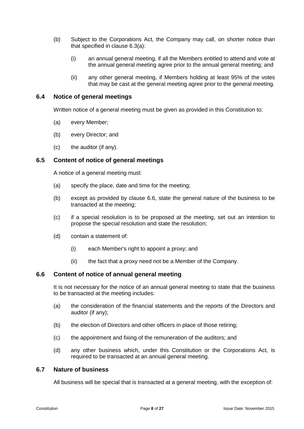- (b) Subject to the Corporations Act, the Company may call, on shorter notice than that specified in clause 6.3(a):
	- (i) an annual general meeting, if all the Members entitled to attend and vote at the annual general meeting agree prior to the annual general meeting; and
	- (ii) any other general meeting, if Members holding at least 95% of the votes that may be cast at the general meeting agree prior to the general meeting.

#### **6.4 Notice of general meetings**

Written notice of a general meeting must be given as provided in this Constitution to:

- (a) every Member;
- (b) every Director; and
- (c) the auditor (if any).

#### **6.5 Content of notice of general meetings**

A notice of a general meeting must:

- (a) specify the place, date and time for the meeting;
- (b) except as provided by clause 6.6, state the general nature of the business to be transacted at the meeting;
- (c) if a special resolution is to be proposed at the meeting, set out an intention to propose the special resolution and state the resolution;
- (d) contain a statement of:
	- (i) each Member's right to appoint a proxy; and
	- (ii) the fact that a proxy need not be a Member of the Company.

#### **6.6 Content of notice of annual general meeting**

It is not necessary for the notice of an annual general meeting to state that the business to be transacted at the meeting includes:

- (a) the consideration of the financial statements and the reports of the Directors and auditor (if any);
- (b) the election of Directors and other officers in place of those retiring;
- (c) the appointment and fixing of the remuneration of the auditors; and
- (d) any other business which, under this Constitution or the Corporations Act, is required to be transacted at an annual general meeting.

#### **6.7 Nature of business**

All business will be special that is transacted at a general meeting, with the exception of: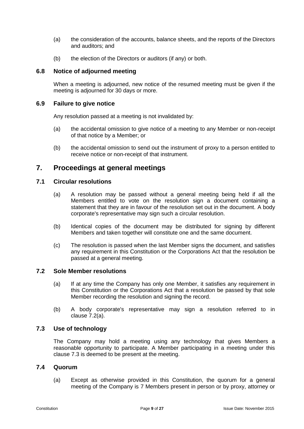- (a) the consideration of the accounts, balance sheets, and the reports of the Directors and auditors; and
- (b) the election of the Directors or auditors (if any) or both.

#### **6.8 Notice of adjourned meeting**

When a meeting is adjourned, new notice of the resumed meeting must be given if the meeting is adjourned for 30 days or more.

#### **6.9 Failure to give notice**

Any resolution passed at a meeting is not invalidated by:

- (a) the accidental omission to give notice of a meeting to any Member or non-receipt of that notice by a Member; or
- (b) the accidental omission to send out the instrument of proxy to a person entitled to receive notice or non-receipt of that instrument.

## **7. Proceedings at general meetings**

#### **7.1 Circular resolutions**

- (a) A resolution may be passed without a general meeting being held if all the Members entitled to vote on the resolution sign a document containing a statement that they are in favour of the resolution set out in the document. A body corporate's representative may sign such a circular resolution.
- (b) Identical copies of the document may be distributed for signing by different Members and taken together will constitute one and the same document.
- (c) The resolution is passed when the last Member signs the document, and satisfies any requirement in this Constitution or the Corporations Act that the resolution be passed at a general meeting.

#### **7.2 Sole Member resolutions**

- (a) If at any time the Company has only one Member, it satisfies any requirement in this Constitution or the Corporations Act that a resolution be passed by that sole Member recording the resolution and signing the record.
- (b) A body corporate's representative may sign a resolution referred to in clause 7.2(a).

#### **7.3 Use of technology**

<span id="page-12-0"></span>The Company may hold a meeting using any technology that gives Members a reasonable opportunity to participate. A Member participating in a meeting under this clause [7.3](#page-12-0) is deemed to be present at the meeting.

#### **7.4 Quorum**

(a) Except as otherwise provided in this Constitution, the quorum for a general meeting of the Company is 7 Members present in person or by proxy, attorney or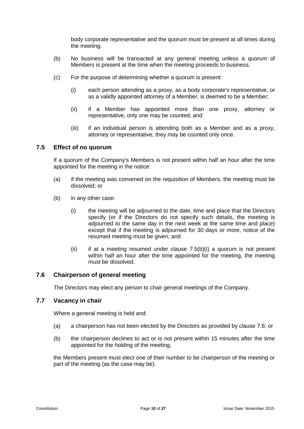body corporate representative and the quorum must be present at all times during the meeting.

- (b) No business will be transacted at any general meeting unless a quorum of Members is present at the time when the meeting proceeds to business.
- (c) For the purpose of determining whether a quorum is present:
	- (i) each person attending as a proxy, as a body corporate's representative, or as a validly appointed attorney of a Member, is deemed to be a Member;
	- (ii) if a Member has appointed more than one proxy, attorney or representative, only one may be counted; and
	- (iii) if an individual person is attending both as a Member and as a proxy, attorney or representative, they may be counted only once.

#### **7.5 Effect of no quorum**

If a quorum of the Company's Members is not present within half an hour after the time appointed for the meeting in the notice:

- (a) if the meeting was convened on the requisition of Members, the meeting must be dissolved; or
- (b) in any other case:
	- (i) the meeting will be adjourned to the date, time and place that the Directors specify (or if the Directors do not specify such details, the meeting is adjourned to the same day in the next week at the same time and place) except that if the meeting is adjourned for 30 days or more, notice of the resumed meeting must be given; and
	- (ii) if at a meeting resumed under clause  $7.5(b)(i)$  a quorum is not present within half an hour after the time appointed for the meeting, the meeting must be dissolved.

#### **7.6 Chairperson of general meeting**

The Directors may elect any person to chair general meetings of the Company.

#### **7.7 Vacancy in chair**

Where a general meeting is held and:

- (a) a chairperson has not been elected by the Directors as provided by clause 7.6; or
- (b) the chairperson declines to act or is not present within 15 minutes after the time appointed for the holding of the meeting,

the Members present must elect one of their number to be chairperson of the meeting or part of the meeting (as the case may be).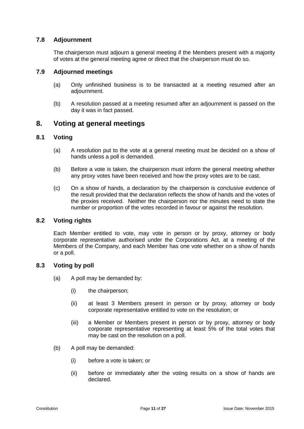#### **7.8 Adjournment**

The chairperson must adjourn a general meeting if the Members present with a majority of votes at the general meeting agree or direct that the chairperson must do so.

#### **7.9 Adjourned meetings**

- (a) Only unfinished business is to be transacted at a meeting resumed after an adjournment.
- (b) A resolution passed at a meeting resumed after an adjournment is passed on the day it was in fact passed.

## **8. Voting at general meetings**

#### **8.1 Voting**

- (a) A resolution put to the vote at a general meeting must be decided on a show of hands unless a poll is demanded.
- (b) Before a vote is taken, the chairperson must inform the general meeting whether any proxy votes have been received and how the proxy votes are to be cast.
- (c) On a show of hands, a declaration by the chairperson is conclusive evidence of the result provided that the declaration reflects the show of hands and the votes of the proxies received. Neither the chairperson nor the minutes need to state the number or proportion of the votes recorded in favour or against the resolution.

#### **8.2 Voting rights**

Each Member entitled to vote, may vote in person or by proxy, attorney or body corporate representative authorised under the Corporations Act, at a meeting of the Members of the Company, and each Member has one vote whether on a show of hands or a poll.

#### **8.3 Voting by poll**

- (a) A poll may be demanded by:
	- (i) the chairperson;
	- (ii) at least 3 Members present in person or by proxy, attorney or body corporate representative entitled to vote on the resolution; or
	- (iii) a Member or Members present in person or by proxy, attorney or body corporate representative representing at least 5% of the total votes that may be cast on the resolution on a poll.
- (b) A poll may be demanded:
	- (i) before a vote is taken; or
	- (ii) before or immediately after the voting results on a show of hands are declared.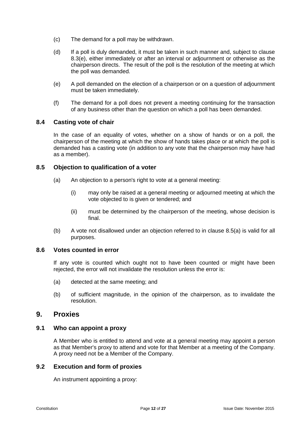- (c) The demand for a poll may be withdrawn.
- (d) If a poll is duly demanded, it must be taken in such manner and, subject to clause [8.3\(e\),](#page-15-0) either immediately or after an interval or adjournment or otherwise as the chairperson directs. The result of the poll is the resolution of the meeting at which the poll was demanded.
- <span id="page-15-0"></span>(e) A poll demanded on the election of a chairperson or on a question of adjournment must be taken immediately.
- (f) The demand for a poll does not prevent a meeting continuing for the transaction of any business other than the question on which a poll has been demanded.

#### **8.4 Casting vote of chair**

In the case of an equality of votes, whether on a show of hands or on a poll, the chairperson of the meeting at which the show of hands takes place or at which the poll is demanded has a casting vote (in addition to any vote that the chairperson may have had as a member).

#### **8.5 Objection to qualification of a voter**

- (a) An objection to a person's right to vote at a general meeting:
	- (i) may only be raised at a general meeting or adjourned meeting at which the vote objected to is given or tendered; and
	- (ii) must be determined by the chairperson of the meeting, whose decision is final.
- (b) A vote not disallowed under an objection referred to in clause 8.5(a) is valid for all purposes.

#### **8.6 Votes counted in error**

If any vote is counted which ought not to have been counted or might have been rejected, the error will not invalidate the resolution unless the error is:

- (a) detected at the same meeting; and
- (b) of sufficient magnitude, in the opinion of the chairperson, as to invalidate the resolution.

#### **9. Proxies**

#### **9.1 Who can appoint a proxy**

A Member who is entitled to attend and vote at a general meeting may appoint a person as that Member's proxy to attend and vote for that Member at a meeting of the Company. A proxy need not be a Member of the Company.

#### **9.2 Execution and form of proxies**

An instrument appointing a proxy: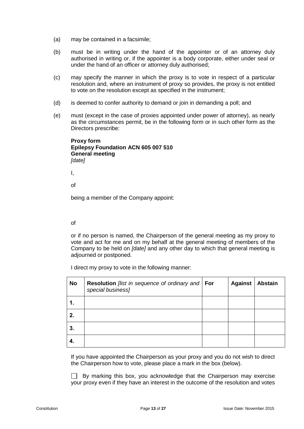- (a) may be contained in a facsimile;
- (b) must be in writing under the hand of the appointer or of an attorney duly authorised in writing or, if the appointer is a body corporate, either under seal or under the hand of an officer or attorney duly authorised;
- (c) may specify the manner in which the proxy is to vote in respect of a particular resolution and, where an instrument of proxy so provides, the proxy is not entitled to vote on the resolution except as specified in the instrument;
- (d) is deemed to confer authority to demand or join in demanding a poll; and
- (e) must (except in the case of proxies appointed under power of attorney), as nearly as the circumstances permit, be in the following form or in such other form as the Directors prescribe:

**Proxy form Epilepsy Foundation ACN 605 007 510 General meeting** *[date]*

I,

of

being a member of the Company appoint:

#### of

or if no person is named, the Chairperson of the general meeting as my proxy to vote and act for me and on my behalf at the general meeting of members of the Company to be held on *[date]* and any other day to which that general meeting is adjourned or postponed.

I direct my proxy to vote in the following manner:

| No | <b>Resolution</b> [list in sequence of ordinary and <b>For</b><br>special business] | <b>Against</b> | <b>Abstain</b> |
|----|-------------------------------------------------------------------------------------|----------------|----------------|
| 1. |                                                                                     |                |                |
| 2. |                                                                                     |                |                |
| 3. |                                                                                     |                |                |
| 4. |                                                                                     |                |                |

If you have appointed the Chairperson as your proxy and you do not wish to direct the Chairperson how to vote, please place a mark in the box (below).

 $\Box$  By marking this box, you acknowledge that the Chairperson may exercise your proxy even if they have an interest in the outcome of the resolution and votes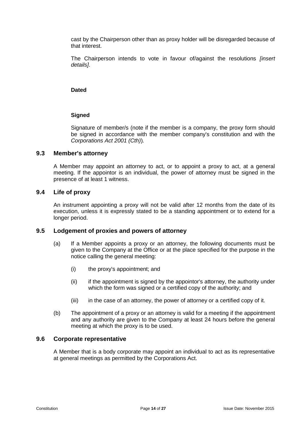cast by the Chairperson other than as proxy holder will be disregarded because of that interest.

The Chairperson intends to vote in favour of/against the resolutions *[insert details]*.

#### **Dated**

#### **Signed**

Signature of member/s (note if the member is a company, the proxy form should be signed in accordance with the member company's constitution and with the *Corporations Act 2001 (Cth)*)*.*

#### **9.3 Member's attorney**

A Member may appoint an attorney to act, or to appoint a proxy to act, at a general meeting. If the appointor is an individual, the power of attorney must be signed in the presence of at least 1 witness.

#### **9.4 Life of proxy**

An instrument appointing a proxy will not be valid after 12 months from the date of its execution, unless it is expressly stated to be a standing appointment or to extend for a longer period.

#### **9.5 Lodgement of proxies and powers of attorney**

- (a) If a Member appoints a proxy or an attorney, the following documents must be given to the Company at the Office or at the place specified for the purpose in the notice calling the general meeting:
	- (i) the proxy's appointment; and
	- (ii) if the appointment is signed by the appointor's attorney, the authority under which the form was signed or a certified copy of the authority; and
	- (iii) in the case of an attorney, the power of attorney or a certified copy of it.
- (b) The appointment of a proxy or an attorney is valid for a meeting if the appointment and any authority are given to the Company at least 24 hours before the general meeting at which the proxy is to be used.

#### **9.6 Corporate representative**

A Member that is a body corporate may appoint an individual to act as its representative at general meetings as permitted by the Corporations Act.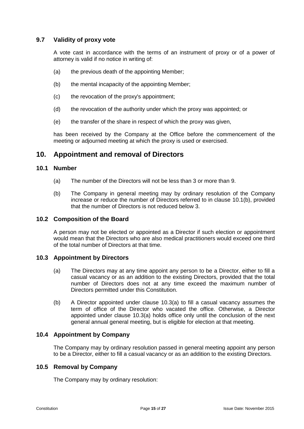#### **9.7 Validity of proxy vote**

A vote cast in accordance with the terms of an instrument of proxy or of a power of attorney is valid if no notice in writing of:

- (a) the previous death of the appointing Member;
- (b) the mental incapacity of the appointing Member:
- (c) the revocation of the proxy's appointment;
- (d) the revocation of the authority under which the proxy was appointed; or
- (e) the transfer of the share in respect of which the proxy was given,

has been received by the Company at the Office before the commencement of the meeting or adjourned meeting at which the proxy is used or exercised.

## **10. Appointment and removal of Directors**

#### **10.1 Number**

- (a) The number of the Directors will not be less than 3 or more than 9.
- <span id="page-18-0"></span>(b) The Company in general meeting may by ordinary resolution of the Company increase or reduce the number of Directors referred to in clause [10.1\(b\),](#page-18-0) provided that the number of Directors is not reduced below 3.

#### **10.2 Composition of the Board**

A person may not be elected or appointed as a Director if such election or appointment would mean that the Directors who are also medical practitioners would exceed one third of the total number of Directors at that time.

#### <span id="page-18-1"></span>**10.3 Appointment by Directors**

- (a) The Directors may at any time appoint any person to be a Director, either to fill a casual vacancy or as an addition to the existing Directors, provided that the total number of Directors does not at any time exceed the maximum number of Directors permitted under this Constitution.
- <span id="page-18-2"></span>(b) A Director appointed under clause [10.3\(a\)](#page-18-1) to fill a casual vacancy assumes the term of office of the Director who vacated the office. Otherwise, a Director appointed under clause [10.3\(a\)](#page-18-1) holds office only until the conclusion of the next general annual general meeting, but is eligible for election at that meeting.

#### **10.4 Appointment by Company**

The Company may by ordinary resolution passed in general meeting appoint any person to be a Director, either to fill a casual vacancy or as an addition to the existing Directors.

#### **10.5 Removal by Company**

The Company may by ordinary resolution: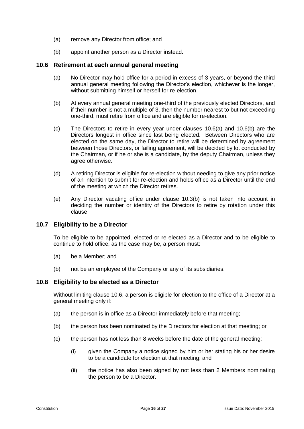- (a) remove any Director from office; and
- (b) appoint another person as a Director instead.

#### <span id="page-19-2"></span><span id="page-19-0"></span>**10.6 Retirement at each annual general meeting**

- (a) No Director may hold office for a period in excess of 3 years, or beyond the third annual general meeting following the Director's election, whichever is the longer, without submitting himself or herself for re-election.
- <span id="page-19-1"></span>(b) At every annual general meeting one-third of the previously elected Directors, and if their number is not a multiple of 3, then the number nearest to but not exceeding one-third, must retire from office and are eligible for re-election.
- (c) The Directors to retire in every year under clauses [10.6\(a\)](#page-19-0) and [10.6\(b\)](#page-19-1) are the Directors longest in office since last being elected. Between Directors who are elected on the same day, the Director to retire will be determined by agreement between those Directors, or failing agreement, will be decided by lot conducted by the Chairman, or if he or she is a candidate, by the deputy Chairman, unless they agree otherwise.
- (d) A retiring Director is eligible for re-election without needing to give any prior notice of an intention to submit for re-election and holds office as a Director until the end of the meeting at which the Director retires.
- (e) Any Director vacating office under clause [10.3\(b\)](#page-18-2) is not taken into account in deciding the number or identity of the Directors to retire by rotation under this clause.

#### **10.7 Eligibility to be a Director**

To be eligible to be appointed, elected or re-elected as a Director and to be eligible to continue to hold office, as the case may be, a person must:

- (a) be a Member; and
- (b) not be an employee of the Company or any of its subsidiaries.

#### **10.8 Eligibility to be elected as a Director**

Without limiting clause [10.6,](#page-19-2) a person is eligible for election to the office of a Director at a general meeting only if:

- (a) the person is in office as a Director immediately before that meeting;
- (b) the person has been nominated by the Directors for election at that meeting; or
- (c) the person has not less than 8 weeks before the date of the general meeting:
	- (i) given the Company a notice signed by him or her stating his or her desire to be a candidate for election at that meeting; and
	- (ii) the notice has also been signed by not less than 2 Members nominating the person to be a Director.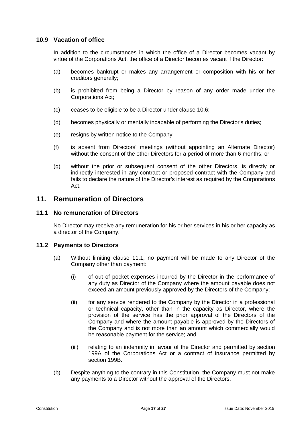#### **10.9 Vacation of office**

In addition to the circumstances in which the office of a Director becomes vacant by virtue of the Corporations Act, the office of a Director becomes vacant if the Director:

- (a) becomes bankrupt or makes any arrangement or composition with his or her creditors generally;
- (b) is prohibited from being a Director by reason of any order made under the Corporations Act;
- (c) ceases to be eligible to be a Director under clause [10.6;](#page-19-2)
- (d) becomes physically or mentally incapable of performing the Director's duties;
- (e) resigns by written notice to the Company;
- (f) is absent from Directors' meetings (without appointing an Alternate Director) without the consent of the other Directors for a period of more than 6 months; or
- (g) without the prior or subsequent consent of the other Directors, is directly or indirectly interested in any contract or proposed contract with the Company and fails to declare the nature of the Director's interest as required by the Corporations Act.

## **11. Remuneration of Directors**

#### <span id="page-20-0"></span>**11.1 No remuneration of Directors**

No Director may receive any remuneration for his or her services in his or her capacity as a director of the Company.

#### **11.2 Payments to Directors**

- (a) Without limiting clause [11.1,](#page-20-0) no payment will be made to any Director of the Company other than payment:
	- (i) of out of pocket expenses incurred by the Director in the performance of any duty as Director of the Company where the amount payable does not exceed an amount previously approved by the Directors of the Company;
	- (ii) for any service rendered to the Company by the Director in a professional or technical capacity, other than in the capacity as Director, where the provision of the service has the prior approval of the Directors of the Company and where the amount payable is approved by the Directors of the Company and is not more than an amount which commercially would be reasonable payment for the service; and
	- (iii) relating to an indemnity in favour of the Director and permitted by section 199A of the Corporations Act or a contract of insurance permitted by section 199B.
- (b) Despite anything to the contrary in this Constitution, the Company must not make any payments to a Director without the approval of the Directors.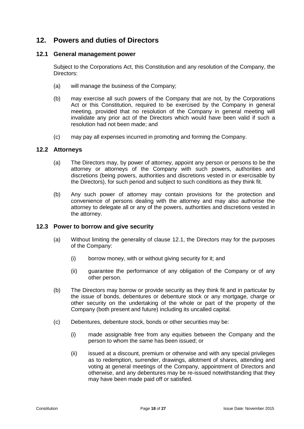## **12. Powers and duties of Directors**

#### **12.1 General management power**

Subject to the Corporations Act, this Constitution and any resolution of the Company, the Directors:

- (a) will manage the business of the Company;
- (b) may exercise all such powers of the Company that are not, by the Corporations Act or this Constitution, required to be exercised by the Company in general meeting, provided that no resolution of the Company in general meeting will invalidate any prior act of the Directors which would have been valid if such a resolution had not been made; and
- (c) may pay all expenses incurred in promoting and forming the Company.

#### **12.2 Attorneys**

- (a) The Directors may, by power of attorney, appoint any person or persons to be the attorney or attorneys of the Company with such powers, authorities and discretions (being powers, authorities and discretions vested in or exercisable by the Directors), for such period and subject to such conditions as they think fit.
- (b) Any such power of attorney may contain provisions for the protection and convenience of persons dealing with the attorney and may also authorise the attorney to delegate all or any of the powers, authorities and discretions vested in the attorney.

#### **12.3 Power to borrow and give security**

- (a) Without limiting the generality of clause 12.1, the Directors may for the purposes of the Company:
	- (i) borrow money, with or without giving security for it; and
	- (ii) guarantee the performance of any obligation of the Company or of any other person.
- (b) The Directors may borrow or provide security as they think fit and in particular by the issue of bonds, debentures or debenture stock or any mortgage, charge or other security on the undertaking of the whole or part of the property of the Company (both present and future) including its uncalled capital.
- (c) Debentures, debenture stock, bonds or other securities may be:
	- (i) made assignable free from any equities between the Company and the person to whom the same has been issued; or
	- (ii) issued at a discount, premium or otherwise and with any special privileges as to redemption, surrender, drawings, allotment of shares, attending and voting at general meetings of the Company, appointment of Directors and otherwise, and any debentures may be re-issued notwithstanding that they may have been made paid off or satisfied.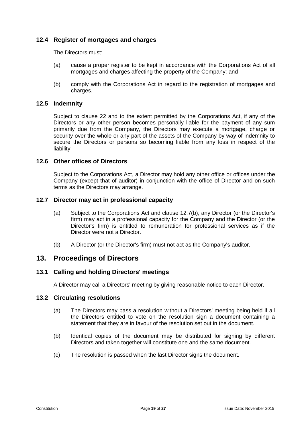#### **12.4 Register of mortgages and charges**

The Directors must:

- (a) cause a proper register to be kept in accordance with the Corporations Act of all mortgages and charges affecting the property of the Company; and
- (b) comply with the Corporations Act in regard to the registration of mortgages and charges.

#### **12.5 Indemnity**

Subject to clause 22 and to the extent permitted by the Corporations Act, if any of the Directors or any other person becomes personally liable for the payment of any sum primarily due from the Company, the Directors may execute a mortgage, charge or security over the whole or any part of the assets of the Company by way of indemnity to secure the Directors or persons so becoming liable from any loss in respect of the liability.

#### **12.6 Other offices of Directors**

Subject to the Corporations Act, a Director may hold any other office or offices under the Company (except that of auditor) in conjunction with the office of Director and on such terms as the Directors may arrange.

#### **12.7 Director may act in professional capacity**

- (a) Subject to the Corporations Act and clause 12.7(b), any Director (or the Director's firm) may act in a professional capacity for the Company and the Director (or the Director's firm) is entitled to remuneration for professional services as if the Director were not a Director.
- (b) A Director (or the Director's firm) must not act as the Company's auditor.

## **13. Proceedings of Directors**

#### **13.1 Calling and holding Directors' meetings**

A Director may call a Directors' meeting by giving reasonable notice to each Director.

#### **13.2 Circulating resolutions**

- (a) The Directors may pass a resolution without a Directors' meeting being held if all the Directors entitled to vote on the resolution sign a document containing a statement that they are in favour of the resolution set out in the document.
- (b) Identical copies of the document may be distributed for signing by different Directors and taken together will constitute one and the same document.
- (c) The resolution is passed when the last Director signs the document.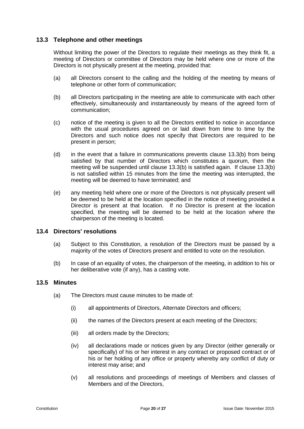### **13.3 Telephone and other meetings**

Without limiting the power of the Directors to regulate their meetings as they think fit, a meeting of Directors or committee of Directors may be held where one or more of the Directors is not physically present at the meeting, provided that:

- (a) all Directors consent to the calling and the holding of the meeting by means of telephone or other form of communication;
- (b) all Directors participating in the meeting are able to communicate with each other effectively, simultaneously and instantaneously by means of the agreed form of communication;
- (c) notice of the meeting is given to all the Directors entitled to notice in accordance with the usual procedures agreed on or laid down from time to time by the Directors and such notice does not specify that Directors are required to be present in person;
- (d) in the event that a failure in communications prevents clause 13.3(b) from being satisfied by that number of Directors which constitutes a quorum, then the meeting will be suspended until clause 13.3(b) is satisfied again. If clause 13.3(b) is not satisfied within 15 minutes from the time the meeting was interrupted, the meeting will be deemed to have terminated; and
- (e) any meeting held where one or more of the Directors is not physically present will be deemed to be held at the location specified in the notice of meeting provided a Director is present at that location. If no Director is present at the location specified, the meeting will be deemed to be held at the location where the chairperson of the meeting is located.

#### **13.4 Directors' resolutions**

- (a) Subject to this Constitution, a resolution of the Directors must be passed by a majority of the votes of Directors present and entitled to vote on the resolution.
- (b) In case of an equality of votes, the chairperson of the meeting, in addition to his or her deliberative vote (if any), has a casting vote.

#### **13.5 Minutes**

- (a) The Directors must cause minutes to be made of:
	- (i) all appointments of Directors, Alternate Directors and officers;
	- (ii) the names of the Directors present at each meeting of the Directors;
	- (iii) all orders made by the Directors;
	- (iv) all declarations made or notices given by any Director (either generally or specifically) of his or her interest in any contract or proposed contract or of his or her holding of any office or property whereby any conflict of duty or interest may arise; and
	- (v) all resolutions and proceedings of meetings of Members and classes of Members and of the Directors,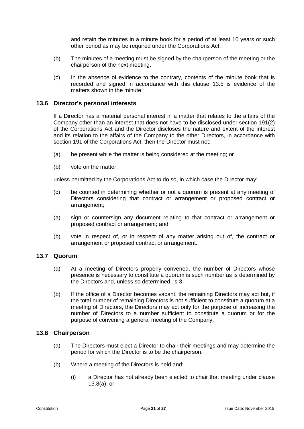and retain the minutes in a minute book for a period of at least 10 years or such other period as may be required under the Corporations Act.

- (b) The minutes of a meeting must be signed by the chairperson of the meeting or the chairperson of the next meeting.
- (c) In the absence of evidence to the contrary, contents of the minute book that is recorded and signed in accordance with this clause 13.5 is evidence of the matters shown in the minute.

#### **13.6 Director's personal interests**

If a Director has a material personal interest in a matter that relates to the affairs of the Company other than an interest that does not have to be disclosed under section 191(2) of the Corporations Act and the Director discloses the nature and extent of the interest and its relation to the affairs of the Company to the other Directors, in accordance with section 191 of the Corporations Act, then the Director must not:

- (a) be present while the matter is being considered at the meeting; or
- (b) vote on the matter,

unless permitted by the Corporations Act to do so, in which case the Director may:

- (c) be counted in determining whether or not a quorum is present at any meeting of Directors considering that contract or arrangement or proposed contract or arrangement;
- (a) sign or countersign any document relating to that contract or arrangement or proposed contract or arrangement; and
- (b) vote in respect of, or in respect of any matter arising out of, the contract or arrangement or proposed contract or arrangement.

#### **13.7 Quorum**

- (a) At a meeting of Directors properly convened, the number of Directors whose presence is necessary to constitute a quorum is such number as is determined by the Directors and, unless so determined, is 3.
- (b) If the office of a Director becomes vacant, the remaining Directors may act but, if the total number of remaining Directors is not sufficient to constitute a quorum at a meeting of Directors, the Directors may act only for the purpose of increasing the number of Directors to a number sufficient to constitute a quorum or for the purpose of convening a general meeting of the Company.

#### **13.8 Chairperson**

- (a) The Directors must elect a Director to chair their meetings and may determine the period for which the Director is to be the chairperson.
- (b) Where a meeting of the Directors is held and:
	- (i) a Director has not already been elected to chair that meeting under clause 13.8(a); or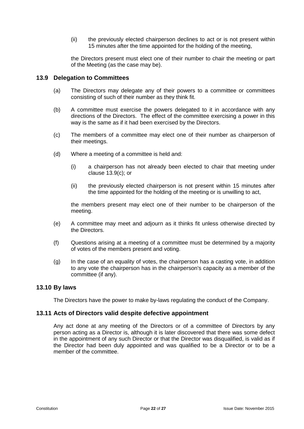(ii) the previously elected chairperson declines to act or is not present within 15 minutes after the time appointed for the holding of the meeting,

the Directors present must elect one of their number to chair the meeting or part of the Meeting (as the case may be).

#### **13.9 Delegation to Committees**

- (a) The Directors may delegate any of their powers to a committee or committees consisting of such of their number as they think fit.
- (b) A committee must exercise the powers delegated to it in accordance with any directions of the Directors. The effect of the committee exercising a power in this way is the same as if it had been exercised by the Directors.
- (c) The members of a committee may elect one of their number as chairperson of their meetings.
- (d) Where a meeting of a committee is held and:
	- (i) a chairperson has not already been elected to chair that meeting under clause 13.9(c); or
	- (ii) the previously elected chairperson is not present within 15 minutes after the time appointed for the holding of the meeting or is unwilling to act,

the members present may elect one of their number to be chairperson of the meeting.

- (e) A committee may meet and adjourn as it thinks fit unless otherwise directed by the Directors.
- (f) Questions arising at a meeting of a committee must be determined by a majority of votes of the members present and voting.
- (g) In the case of an equality of votes, the chairperson has a casting vote, in addition to any vote the chairperson has in the chairperson's capacity as a member of the committee (if any).

#### **13.10 By laws**

The Directors have the power to make by-laws regulating the conduct of the Company.

#### **13.11 Acts of Directors valid despite defective appointment**

Any act done at any meeting of the Directors or of a committee of Directors by any person acting as a Director is, although it is later discovered that there was some defect in the appointment of any such Director or that the Director was disqualified, is valid as if the Director had been duly appointed and was qualified to be a Director or to be a member of the committee.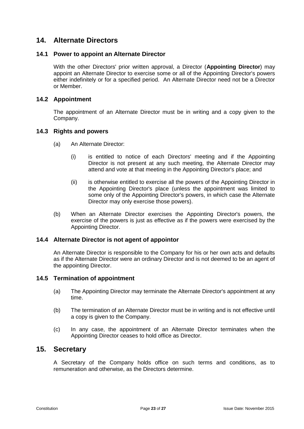## **14. Alternate Directors**

#### **14.1 Power to appoint an Alternate Director**

With the other Directors' prior written approval, a Director (**Appointing Director**) may appoint an Alternate Director to exercise some or all of the Appointing Director's powers either indefinitely or for a specified period. An Alternate Director need not be a Director or Member.

#### **14.2 Appointment**

The appointment of an Alternate Director must be in writing and a copy given to the Company.

#### **14.3 Rights and powers**

- (a) An Alternate Director:
	- (i) is entitled to notice of each Directors' meeting and if the Appointing Director is not present at any such meeting, the Alternate Director may attend and vote at that meeting in the Appointing Director's place; and
	- (ii) is otherwise entitled to exercise all the powers of the Appointing Director in the Appointing Director's place (unless the appointment was limited to some only of the Appointing Director's powers, in which case the Alternate Director may only exercise those powers).
- (b) When an Alternate Director exercises the Appointing Director's powers, the exercise of the powers is just as effective as if the powers were exercised by the Appointing Director.

#### **14.4 Alternate Director is not agent of appointor**

An Alternate Director is responsible to the Company for his or her own acts and defaults as if the Alternate Director were an ordinary Director and is not deemed to be an agent of the appointing Director.

#### **14.5 Termination of appointment**

- (a) The Appointing Director may terminate the Alternate Director's appointment at any time.
- (b) The termination of an Alternate Director must be in writing and is not effective until a copy is given to the Company.
- (c) In any case, the appointment of an Alternate Director terminates when the Appointing Director ceases to hold office as Director.

## **15. Secretary**

A Secretary of the Company holds office on such terms and conditions, as to remuneration and otherwise, as the Directors determine.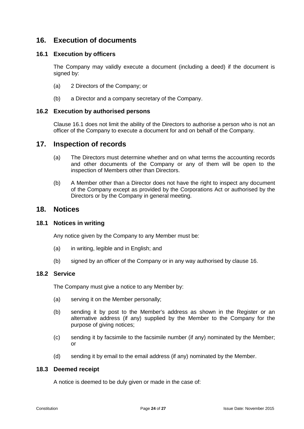## <span id="page-27-1"></span>**16. Execution of documents**

### <span id="page-27-0"></span>**16.1 Execution by officers**

The Company may validly execute a document (including a deed) if the document is signed by:

- (a) 2 Directors of the Company; or
- (b) a Director and a company secretary of the Company.

#### **16.2 Execution by authorised persons**

Clause [16.1](#page-27-0) does not limit the ability of the Directors to authorise a person who is not an officer of the Company to execute a document for and on behalf of the Company.

## **17. Inspection of records**

- (a) The Directors must determine whether and on what terms the accounting records and other documents of the Company or any of them will be open to the inspection of Members other than Directors.
- (b) A Member other than a Director does not have the right to inspect any document of the Company except as provided by the Corporations Act or authorised by the Directors or by the Company in general meeting.

## **18. Notices**

#### **18.1 Notices in writing**

Any notice given by the Company to any Member must be:

- (a) in writing, legible and in English; and
- (b) signed by an officer of the Company or in any way authorised by clause [16.](#page-27-1)

#### **18.2 Service**

The Company must give a notice to any Member by:

- (a) serving it on the Member personally;
- (b) sending it by post to the Member's address as shown in the Register or an alternative address (if any) supplied by the Member to the Company for the purpose of giving notices;
- (c) sending it by facsimile to the facsimile number (if any) nominated by the Member; or
- (d) sending it by email to the email address (if any) nominated by the Member.

#### **18.3 Deemed receipt**

A notice is deemed to be duly given or made in the case of: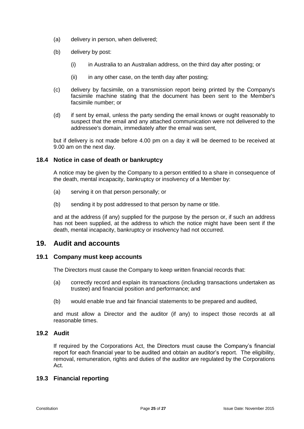- (a) delivery in person, when delivered;
- (b) delivery by post:
	- (i) in Australia to an Australian address, on the third day after posting; or
	- $(ii)$  in any other case, on the tenth day after posting;
- (c) delivery by facsimile, on a transmission report being printed by the Company's facsimile machine stating that the document has been sent to the Member's facsimile number; or
- (d) if sent by email, unless the party sending the email knows or ought reasonably to suspect that the email and any attached communication were not delivered to the addressee's domain, immediately after the email was sent,

but if delivery is not made before 4.00 pm on a day it will be deemed to be received at 9.00 am on the next day.

#### **18.4 Notice in case of death or bankruptcy**

A notice may be given by the Company to a person entitled to a share in consequence of the death, mental incapacity, bankruptcy or insolvency of a Member by:

- (a) serving it on that person personally; or
- (b) sending it by post addressed to that person by name or title.

and at the address (if any) supplied for the purpose by the person or, if such an address has not been supplied, at the address to which the notice might have been sent if the death, mental incapacity, bankruptcy or insolvency had not occurred.

## **19. Audit and accounts**

#### **19.1 Company must keep accounts**

The Directors must cause the Company to keep written financial records that:

- (a) correctly record and explain its transactions (including transactions undertaken as trustee) and financial position and performance; and
- (b) would enable true and fair financial statements to be prepared and audited,

and must allow a Director and the auditor (if any) to inspect those records at all reasonable times.

#### **19.2 Audit**

If required by the Corporations Act, the Directors must cause the Company's financial report for each financial year to be audited and obtain an auditor's report. The eligibility, removal, remuneration, rights and duties of the auditor are regulated by the Corporations Act.

#### **19.3 Financial reporting**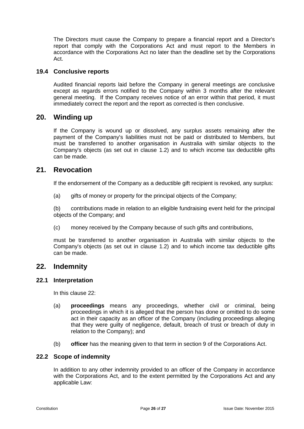The Directors must cause the Company to prepare a financial report and a Director's report that comply with the Corporations Act and must report to the Members in accordance with the Corporations Act no later than the deadline set by the Corporations Act.

#### **19.4 Conclusive reports**

Audited financial reports laid before the Company in general meetings are conclusive except as regards errors notified to the Company within 3 months after the relevant general meeting. If the Company receives notice of an error within that period, it must immediately correct the report and the report as corrected is then conclusive.

### **20. Winding up**

If the Company is wound up or dissolved, any surplus assets remaining after the payment of the Company's liabilities must not be paid or distributed to Members, but must be transferred to another organisation in Australia with similar objects to the Company's objects (as set out in clause [1.2\)](#page-4-0) and to which income tax deductible gifts can be made.

## **21. Revocation**

If the endorsement of the Company as a deductible gift recipient is revoked, any surplus:

(a) gifts of money or property for the principal objects of the Company;

(b) contributions made in relation to an eligible fundraising event held for the principal objects of the Company; and

(c) money received by the Company because of such gifts and contributions,

must be transferred to another organisation in Australia with similar objects to the Company's objects (as set out in clause [1.2\)](#page-4-0) and to which income tax deductible gifts can be made.

#### **22. Indemnity**

#### **22.1 Interpretation**

In this clause 22:

- (a) **proceedings** means any proceedings, whether civil or criminal, being proceedings in which it is alleged that the person has done or omitted to do some act in their capacity as an officer of the Company (including proceedings alleging that they were guilty of negligence, default, breach of trust or breach of duty in relation to the Company); and
- (b) **officer** has the meaning given to that term in section 9 of the Corporations Act.

#### **22.2 Scope of indemnity**

In addition to any other indemnity provided to an officer of the Company in accordance with the Corporations Act, and to the extent permitted by the Corporations Act and any applicable Law: